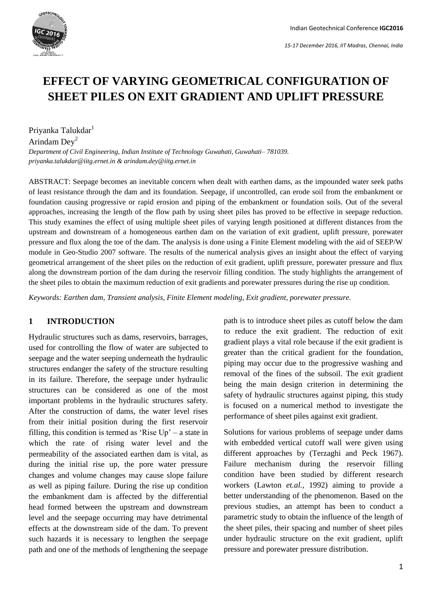

# **EFFECT OF VARYING GEOMETRICAL CONFIGURATION OF SHEET PILES ON EXIT GRADIENT AND UPLIFT PRESSURE**

Priyanka Talukdar<sup>1</sup> Arindam  $Dev<sup>2</sup>$ *Department of Civil Engineering, Indian Institute of Technology Guwahati, Guwahati– 781039. priyanka.talukdar@iitg.ernet.in [& arindam.dey@iitg.ernet.in](mailto:arindam.dey@iitg.ernet.in)*

ABSTRACT: Seepage becomes an inevitable concern when dealt with earthen dams, as the impounded water seek paths of least resistance through the dam and its foundation. Seepage, if uncontrolled, can erode soil from the embankment or foundation causing progressive or rapid erosion and piping of the embankment or foundation soils. Out of the several approaches, increasing the length of the flow path by using sheet piles has proved to be effective in seepage reduction. This study examines the effect of using multiple sheet piles of varying length positioned at different distances from the upstream and downstream of a homogeneous earthen dam on the variation of exit gradient, uplift pressure, porewater pressure and flux along the toe of the dam. The analysis is done using a Finite Element modeling with the aid of SEEP/W module in Geo-Studio 2007 software. The results of the numerical analysis gives an insight about the effect of varying geometrical arrangement of the sheet piles on the reduction of exit gradient, uplift pressure, porewater pressure and flux along the downstream portion of the dam during the reservoir filling condition. The study highlights the arrangement of the sheet piles to obtain the maximum reduction of exit gradients and porewater pressures during the rise up condition.

*Keywords: Earthen dam, Transient analysis, Finite Element modeling, Exit gradient, porewater pressure.*

## **1 INTRODUCTION**

Hydraulic structures such as dams, reservoirs, barrages, used for controlling the flow of water are subjected to seepage and the water seeping underneath the hydraulic structures endanger the safety of the structure resulting in its failure. Therefore, the seepage under hydraulic structures can be considered as one of the most important problems in the hydraulic structures safety. After the construction of dams, the water level rises from their initial position during the first reservoir filling, this condition is termed as 'Rise  $Up' - a$  state in which the rate of rising water level and the permeability of the associated earthen dam is vital, as during the initial rise up, the pore water pressure changes and volume changes may cause slope failure as well as piping failure. During the rise up condition the embankment dam is affected by the differential head formed between the upstream and downstream level and the seepage occurring may have detrimental effects at the downstream side of the dam. To prevent such hazards it is necessary to lengthen the seepage path and one of the methods of lengthening the seepage path is to introduce sheet piles as cutoff below the dam to reduce the exit gradient. The reduction of exit gradient plays a vital role because if the exit gradient is greater than the critical gradient for the foundation, piping may occur due to the progressive washing and removal of the fines of the subsoil. The exit gradient being the main design criterion in determining the safety of hydraulic structures against piping, this study is focused on a numerical method to investigate the performance of sheet piles against exit gradient.

Solutions for various problems of seepage under dams with embedded vertical cutoff wall were given using different approaches by (Terzaghi and Peck 1967). Failure mechanism during the reservoir filling condition have been studied by different research workers (Lawton *et.al.,* 1992) aiming to provide a better understanding of the phenomenon. Based on the previous studies, an attempt has been to conduct a parametric study to obtain the influence of the length of the sheet piles, their spacing and number of sheet piles under hydraulic structure on the exit gradient, uplift pressure and porewater pressure distribution.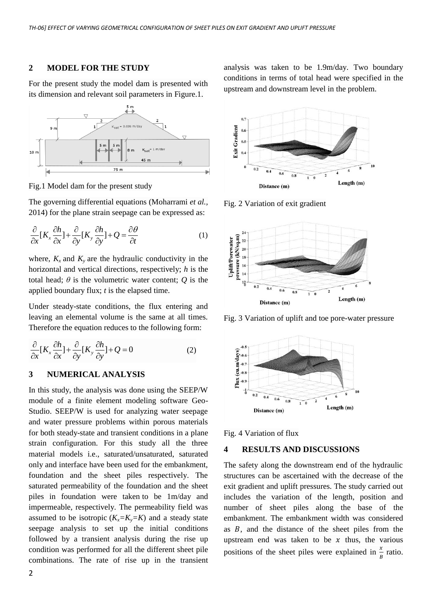#### **2 MODEL FOR THE STUDY**

For the present study the model dam is presented with its dimension and relevant soil parameters in Figure.1.



Fig.1 Model dam for the present study

The governing differential equations (Moharrami *et al.,* 2014) for the plane strain seepage can be expressed as:

$$
\frac{\partial}{\partial x}[K_x \frac{\partial h}{\partial x}] + \frac{\partial}{\partial y}[K_y \frac{\partial h}{\partial y}] + Q = \frac{\partial \theta}{\partial t}
$$
(1)

where,  $K<sub>x</sub>$  and  $K<sub>y</sub>$  are the hydraulic conductivity in the horizontal and vertical directions, respectively; *h* is the total head;  $\theta$  is the volumetric water content;  $Q$  is the applied boundary flux; *t* is the elapsed time.

Under steady-state conditions, the flux entering and leaving an elemental volume is the same at all times. Therefore the equation reduces to the following form:

$$
\frac{\partial}{\partial x}[K_x \frac{\partial h}{\partial x}] + \frac{\partial}{\partial y}[K_y \frac{\partial h}{\partial y}] + Q = 0
$$
\n(2)

#### **3 NUMERICAL ANALYSIS**

In this study, the analysis was done using the SEEP/W module of a finite element modeling software Geo-Studio. SEEP/W is used for analyzing water seepage and water pressure problems within porous materials for both steady-state and transient conditions in a plane strain configuration. For this study all the three material models i.e., saturated/unsaturated, saturated only and interface have been used for the embankment, foundation and the sheet piles respectively. The saturated permeability of the foundation and the sheet piles in foundation were taken to be 1m/day and impermeable, respectively. The permeability field was assumed to be isotropic  $(K_x = K_y = K)$  and a steady state seepage analysis to set up the initial conditions followed by a transient analysis during the rise up condition was performed for all the different sheet pile combinations. The rate of rise up in the transient analysis was taken to be 1.9m/day. Two boundary conditions in terms of total head were specified in the upstream and downstream level in the problem.



Fig. 2 Variation of exit gradient



Fig. 3 Variation of uplift and toe pore-water pressure



Fig. 4 Variation of flux

#### **4 RESULTS AND DISCUSSIONS**

The safety along the downstream end of the hydraulic structures can be ascertained with the decrease of the exit gradient and uplift pressures. The study carried out includes the variation of the length, position and number of sheet piles along the base of the embankment. The embankment width was considered as  $B$ , and the distance of the sheet piles from the upstream end was taken to be  $x$  thus, the various positions of the sheet piles were explained in  $\frac{x}{B}$  ratio.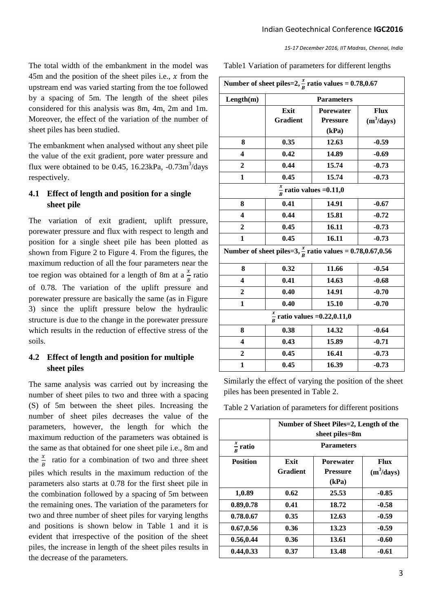The total width of the embankment in the model was 45m and the position of the sheet piles i.e.,  $x$  from the upstream end was varied starting from the toe followed by a spacing of 5m. The length of the sheet piles considered for this analysis was 8m, 4m, 2m and 1m. Moreover, the effect of the variation of the number of sheet piles has been studied.

The embankment when analysed without any sheet pile the value of the exit gradient, pore water pressure and flux were obtained to be 0.45, 16.23kPa,  $-0.73 \text{m}^3/\text{days}$ respectively.

# **4.1 Effect of length and position for a single sheet pile**

The variation of exit gradient, uplift pressure, porewater pressure and flux with respect to length and position for a single sheet pile has been plotted as shown from Figure 2 to Figure 4. From the figures, the maximum reduction of all the four parameters near the toe region was obtained for a length of 8m at a  $\frac{x}{B}$  ratio of 0.78. The variation of the uplift pressure and porewater pressure are basically the same (as in Figure 3) since the uplift pressure below the hydraulic structure is due to the change in the porewater pressure which results in the reduction of effective stress of the soils.

## **4.2 Effect of length and position for multiple sheet piles**

The same analysis was carried out by increasing the number of sheet piles to two and three with a spacing (S) of 5m between the sheet piles. Increasing the number of sheet piles decreases the value of the parameters, however, the length for which the maximum reduction of the parameters was obtained is the same as that obtained for one sheet pile i.e., 8m and the  $\frac{x}{B}$  ratio for a combination of two and three sheet piles which results in the maximum reduction of the parameters also starts at 0.78 for the first sheet pile in the combination followed by a spacing of 5m between the remaining ones. The variation of the parameters for two and three number of sheet piles for varying lengths and positions is shown below in Table 1 and it is evident that irrespective of the position of the sheet piles, the increase in length of the sheet piles results in the decrease of the parameters.

| Table1 Variation of parameters for different lengths |  |
|------------------------------------------------------|--|
|------------------------------------------------------|--|

| Number of sheet piles=2, $\frac{x}{R}$ ratio values = 0.78,0.67      |                   |                  |                        |  |
|----------------------------------------------------------------------|-------------------|------------------|------------------------|--|
| Length(m)                                                            | <b>Parameters</b> |                  |                        |  |
|                                                                      | Exit              | <b>Porewater</b> | <b>Flux</b>            |  |
|                                                                      | <b>Gradient</b>   | <b>Pressure</b>  | (m <sup>3</sup> /days) |  |
|                                                                      |                   | (kPa)            |                        |  |
| 8                                                                    | 0.35              | 12.63            | $-0.59$                |  |
| $\overline{\mathbf{4}}$                                              | 0.42              | 14.89            | $-0.69$                |  |
| $\overline{2}$                                                       | 0.44              | 15.74            | $-0.73$                |  |
| 1                                                                    | 0.45              | 15.74            | $-0.73$                |  |
| $\frac{x}{B}$ ratio values =0.11,0                                   |                   |                  |                        |  |
| 8                                                                    | 0.41              | 14.91            | $-0.67$                |  |
| $\overline{\mathbf{4}}$                                              | 0.44              | 15.81            | $-0.72$                |  |
| $\overline{c}$                                                       | 0.45              | 16.11            | $-0.73$                |  |
| 1                                                                    | 0.45              | 16.11            | $-0.73$                |  |
| Number of sheet piles=3, $\frac{x}{R}$ ratio values = 0.78,0.67,0.56 |                   |                  |                        |  |
| 8                                                                    | 0.32              | 11.66            | $-0.54$                |  |
| $\overline{\mathbf{4}}$                                              | 0.41              | 14.63            | $-0.68$                |  |
| $\overline{2}$                                                       | 0.40              | 14.91            | $-0.70$                |  |
| 1                                                                    | 0.40              | 15.10            | $-0.70$                |  |
| $\frac{x}{B}$ ratio values =0.22,0.11,0                              |                   |                  |                        |  |
| 8                                                                    | 0.38              | 14.32            | $-0.64$                |  |
| $\overline{\mathbf{4}}$                                              | 0.43              | 15.89            | $-0.71$                |  |
| $\boldsymbol{2}$                                                     | 0.45              | 16.41            | $-0.73$                |  |
| 1                                                                    | 0.45              | 16.39            | $-0.73$                |  |

Similarly the effect of varying the position of the sheet piles has been presented in Table 2.

Table 2 Variation of parameters for different positions

|                     | Number of Sheet Piles=2, Length of the<br>sheet piles=8m |                          |              |
|---------------------|----------------------------------------------------------|--------------------------|--------------|
| $\frac{x}{x}$ ratio | <b>Parameters</b>                                        |                          |              |
| <b>Position</b>     | Exit                                                     | <b>Porewater</b>         | Flux         |
|                     | <b>Gradient</b>                                          | <b>Pressure</b><br>(kPa) | $(m^3/days)$ |
| 1,0.89              | 0.62                                                     | 25.53                    | $-0.85$      |
| 0.89,0.78           | 0.41                                                     | 18.72                    | $-0.58$      |
| 0.78.0.67           | 0.35                                                     | 12.63                    | -0.59        |
| 0.67,0.56           | 0.36                                                     | 13.23                    | $-0.59$      |
| 0.56,0.44           | 0.36                                                     | 13.61                    | $-0.60$      |
| 0.44,0.33           | 0.37                                                     | 13.48                    | $-0.61$      |